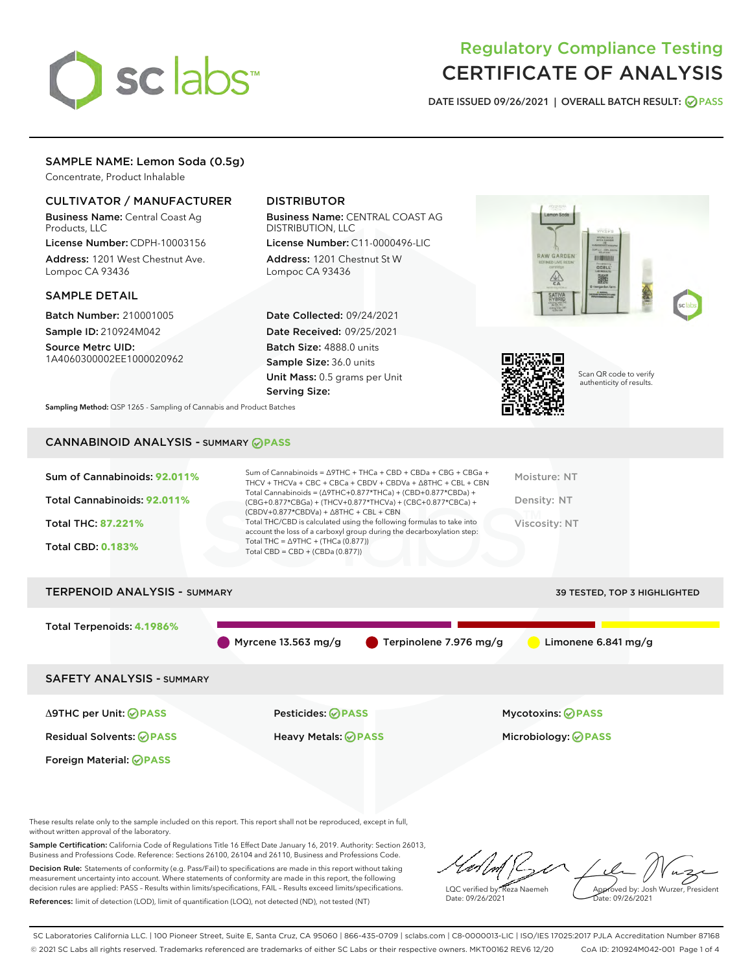

## Regulatory Compliance Testing CERTIFICATE OF ANALYSIS

DATE ISSUED 09/26/2021 | OVERALL BATCH RESULT: @ PASS

## SAMPLE NAME: Lemon Soda (0.5g)

Concentrate, Product Inhalable

## CULTIVATOR / MANUFACTURER

Business Name: Central Coast Ag Products, LLC

License Number: CDPH-10003156 Address: 1201 West Chestnut Ave. Lompoc CA 93436

#### SAMPLE DETAIL

Batch Number: 210001005 Sample ID: 210924M042

Source Metrc UID: 1A4060300002EE1000020962

## DISTRIBUTOR

Business Name: CENTRAL COAST AG DISTRIBUTION, LLC

License Number: C11-0000496-LIC Address: 1201 Chestnut St W Lompoc CA 93436

Date Collected: 09/24/2021 Date Received: 09/25/2021 Batch Size: 4888.0 units Sample Size: 36.0 units Unit Mass: 0.5 grams per Unit Serving Size:





Scan QR code to verify authenticity of results.

Sampling Method: QSP 1265 - Sampling of Cannabis and Product Batches

## CANNABINOID ANALYSIS - SUMMARY **PASS**

| Sum of Cannabinoids: 92.011% | Sum of Cannabinoids = $\triangle$ 9THC + THCa + CBD + CBDa + CBG + CBGa +<br>THCV + THCVa + CBC + CBCa + CBDV + CBDVa + $\Delta$ 8THC + CBL + CBN                                    | Moisture: NT  |
|------------------------------|--------------------------------------------------------------------------------------------------------------------------------------------------------------------------------------|---------------|
| Total Cannabinoids: 92.011%  | Total Cannabinoids = $(\Delta$ 9THC+0.877*THCa) + (CBD+0.877*CBDa) +<br>(CBG+0.877*CBGa) + (THCV+0.877*THCVa) + (CBC+0.877*CBCa) +<br>$(CBDV+0.877*CBDVa) + \Delta 8THC + CBL + CBN$ | Density: NT   |
| <b>Total THC: 87.221%</b>    | Total THC/CBD is calculated using the following formulas to take into<br>account the loss of a carboxyl group during the decarboxylation step:                                       | Viscosity: NT |
| <b>Total CBD: 0.183%</b>     | Total THC = $\triangle$ 9THC + (THCa (0.877))<br>Total CBD = $CBD + (CBDa (0.877))$                                                                                                  |               |
|                              |                                                                                                                                                                                      |               |

# TERPENOID ANALYSIS - SUMMARY 39 TESTED, TOP 3 HIGHLIGHTED Total Terpenoids: **4.1986%** Myrcene 13.563 mg/g  $\bullet$  Terpinolene 7.976 mg/g  $\bullet$  Limonene 6.841 mg/g SAFETY ANALYSIS - SUMMARY Δ9THC per Unit: **PASS** Pesticides: **PASS** Mycotoxins: **PASS**

Foreign Material: **PASS**

Residual Solvents: **PASS** Heavy Metals: **PASS** Microbiology: **PASS**

These results relate only to the sample included on this report. This report shall not be reproduced, except in full, without written approval of the laboratory.

Sample Certification: California Code of Regulations Title 16 Effect Date January 16, 2019. Authority: Section 26013, Business and Professions Code. Reference: Sections 26100, 26104 and 26110, Business and Professions Code. Decision Rule: Statements of conformity (e.g. Pass/Fail) to specifications are made in this report without taking

measurement uncertainty into account. Where statements of conformity are made in this report, the following decision rules are applied: PASS – Results within limits/specifications, FAIL – Results exceed limits/specifications. References: limit of detection (LOD), limit of quantification (LOQ), not detected (ND), not tested (NT)

LQC verified by: Reza Naemeh Date: 09/26/2021 Approved by: Josh Wurzer, President Date: 09/26/2021

SC Laboratories California LLC. | 100 Pioneer Street, Suite E, Santa Cruz, CA 95060 | 866-435-0709 | sclabs.com | C8-0000013-LIC | ISO/IES 17025:2017 PJLA Accreditation Number 87168 © 2021 SC Labs all rights reserved. Trademarks referenced are trademarks of either SC Labs or their respective owners. MKT00162 REV6 12/20 CoA ID: 210924M042-001 Page 1 of 4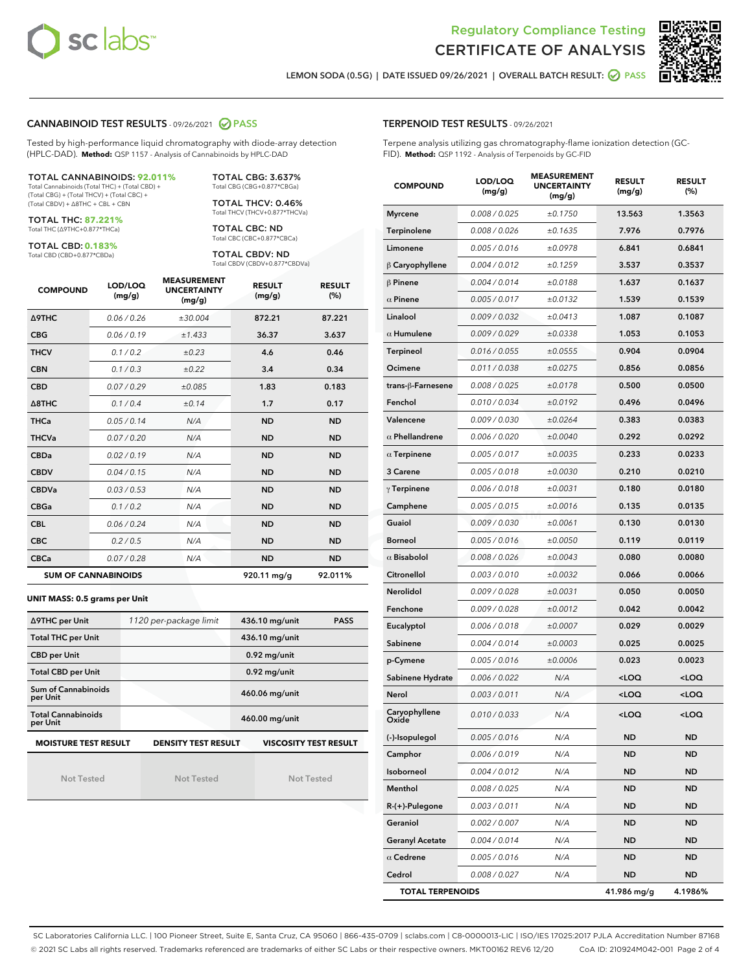



LEMON SODA (0.5G) | DATE ISSUED 09/26/2021 | OVERALL BATCH RESULT: **⊘** PASS

#### CANNABINOID TEST RESULTS - 09/26/2021 2 PASS

Tested by high-performance liquid chromatography with diode-array detection (HPLC-DAD). **Method:** QSP 1157 - Analysis of Cannabinoids by HPLC-DAD

#### TOTAL CANNABINOIDS: **92.011%**

Total Cannabinoids (Total THC) + (Total CBD) + (Total CBG) + (Total THCV) + (Total CBC) + (Total CBDV) + ∆8THC + CBL + CBN

TOTAL THC: **87.221%** Total THC (∆9THC+0.877\*THCa)

TOTAL CBD: **0.183%**

Total CBD (CBD+0.877\*CBDa)

TOTAL CBG: 3.637% Total CBG (CBG+0.877\*CBGa)

TOTAL THCV: 0.46% Total THCV (THCV+0.877\*THCVa)

TOTAL CBC: ND Total CBC (CBC+0.877\*CBCa)

TOTAL CBDV: ND Total CBDV (CBDV+0.877\*CBDVa)

| <b>COMPOUND</b>  | LOD/LOQ<br>(mg/g)          | <b>MEASUREMENT</b><br><b>UNCERTAINTY</b><br>(mg/g) | <b>RESULT</b><br>(mg/g) | <b>RESULT</b><br>(%) |
|------------------|----------------------------|----------------------------------------------------|-------------------------|----------------------|
| <b>A9THC</b>     | 0.06 / 0.26                | ±30.004                                            | 872.21                  | 87.221               |
| <b>CBG</b>       | 0.06 / 0.19                | ±1.433                                             | 36.37                   | 3.637                |
| <b>THCV</b>      | 0.1/0.2                    | ±0.23                                              | 4.6                     | 0.46                 |
| <b>CBN</b>       | 0.1/0.3                    | ±0.22                                              | 3.4                     | 0.34                 |
| <b>CBD</b>       | 0.07/0.29                  | ±0.085                                             | 1.83                    | 0.183                |
| $\triangle$ 8THC | 0.1/0.4                    | ±0.14                                              | 1.7                     | 0.17                 |
| <b>THCa</b>      | 0.05/0.14                  | N/A                                                | <b>ND</b>               | <b>ND</b>            |
| <b>THCVa</b>     | 0.07/0.20                  | N/A                                                | <b>ND</b>               | <b>ND</b>            |
| <b>CBDa</b>      | 0.02/0.19                  | N/A                                                | <b>ND</b>               | <b>ND</b>            |
| <b>CBDV</b>      | 0.04/0.15                  | N/A                                                | <b>ND</b>               | <b>ND</b>            |
| <b>CBDVa</b>     | 0.03/0.53                  | N/A                                                | <b>ND</b>               | <b>ND</b>            |
| <b>CBGa</b>      | 0.1 / 0.2                  | N/A                                                | <b>ND</b>               | <b>ND</b>            |
| <b>CBL</b>       | 0.06 / 0.24                | N/A                                                | <b>ND</b>               | <b>ND</b>            |
| <b>CBC</b>       | 0.2 / 0.5                  | N/A                                                | <b>ND</b>               | <b>ND</b>            |
| <b>CBCa</b>      | 0.07/0.28                  | N/A                                                | <b>ND</b>               | <b>ND</b>            |
|                  | <b>SUM OF CANNABINOIDS</b> |                                                    | 920.11 mg/g             | 92.011%              |

#### **UNIT MASS: 0.5 grams per Unit**

| ∆9THC per Unit                                                                            | 1120 per-package limit | 436.10 mg/unit<br><b>PASS</b> |  |  |  |
|-------------------------------------------------------------------------------------------|------------------------|-------------------------------|--|--|--|
| <b>Total THC per Unit</b>                                                                 |                        | 436.10 mg/unit                |  |  |  |
| <b>CBD per Unit</b>                                                                       |                        | $0.92$ mg/unit                |  |  |  |
| <b>Total CBD per Unit</b>                                                                 |                        | $0.92$ mg/unit                |  |  |  |
| Sum of Cannabinoids<br>per Unit                                                           |                        | 460.06 mg/unit                |  |  |  |
| <b>Total Cannabinoids</b><br>per Unit                                                     |                        | 460.00 mg/unit                |  |  |  |
| <b>MOISTURE TEST RESULT</b><br><b>VISCOSITY TEST RESULT</b><br><b>DENSITY TEST RESULT</b> |                        |                               |  |  |  |

Not Tested

Not Tested

Not Tested

#### TERPENOID TEST RESULTS - 09/26/2021

Terpene analysis utilizing gas chromatography-flame ionization detection (GC-FID). **Method:** QSP 1192 - Analysis of Terpenoids by GC-FID

| <b>COMPOUND</b>         | LOD/LOQ<br>(mg/g) | <b>MEASUREMENT</b><br><b>UNCERTAINTY</b><br>(mg/g) | <b>RESULT</b><br>(mg/g)                         | <b>RESULT</b><br>(%) |
|-------------------------|-------------------|----------------------------------------------------|-------------------------------------------------|----------------------|
| <b>Myrcene</b>          | 0.008 / 0.025     | ±0.1750                                            | 13.563                                          | 1.3563               |
| Terpinolene             | 0.008 / 0.026     | ±0.1635                                            | 7.976                                           | 0.7976               |
| Limonene                | 0.005 / 0.016     | ±0.0978                                            | 6.841                                           | 0.6841               |
| $\beta$ Caryophyllene   | 0.004 / 0.012     | ±0.1259                                            | 3.537                                           | 0.3537               |
| $\beta$ Pinene          | 0.004 / 0.014     | ±0.0188                                            | 1.637                                           | 0.1637               |
| $\alpha$ Pinene         | 0.005 / 0.017     | ±0.0132                                            | 1.539                                           | 0.1539               |
| Linalool                | 0.009 / 0.032     | ±0.0413                                            | 1.087                                           | 0.1087               |
| $\alpha$ Humulene       | 0.009/0.029       | ±0.0338                                            | 1.053                                           | 0.1053               |
| Terpineol               | 0.016 / 0.055     | ±0.0555                                            | 0.904                                           | 0.0904               |
| Ocimene                 | 0.011 / 0.038     | ±0.0275                                            | 0.856                                           | 0.0856               |
| trans-ß-Farnesene       | 0.008 / 0.025     | ±0.0178                                            | 0.500                                           | 0.0500               |
| Fenchol                 | 0.010 / 0.034     | ±0.0192                                            | 0.496                                           | 0.0496               |
| Valencene               | 0.009 / 0.030     | ±0.0264                                            | 0.383                                           | 0.0383               |
| $\alpha$ Phellandrene   | 0.006 / 0.020     | ±0.0040                                            | 0.292                                           | 0.0292               |
| $\alpha$ Terpinene      | 0.005 / 0.017     | ±0.0035                                            | 0.233                                           | 0.0233               |
| 3 Carene                | 0.005 / 0.018     | ±0.0030                                            | 0.210                                           | 0.0210               |
| $\gamma$ Terpinene      | 0.006 / 0.018     | ±0.0031                                            | 0.180                                           | 0.0180               |
| Camphene                | 0.005 / 0.015     | ±0.0016                                            | 0.135                                           | 0.0135               |
| Guaiol                  | 0.009 / 0.030     | ±0.0061                                            | 0.130                                           | 0.0130               |
| Borneol                 | 0.005 / 0.016     | ±0.0050                                            | 0.119                                           | 0.0119               |
| $\alpha$ Bisabolol      | 0.008 / 0.026     | ±0.0043                                            | 0.080                                           | 0.0080               |
| Citronellol             | 0.003 / 0.010     | ±0.0032                                            | 0.066                                           | 0.0066               |
| <b>Nerolidol</b>        | 0.009 / 0.028     | ±0.0031                                            | 0.050                                           | 0.0050               |
| Fenchone                | 0.009 / 0.028     | ±0.0012                                            | 0.042                                           | 0.0042               |
| Eucalyptol              | 0.006 / 0.018     | ±0.0007                                            | 0.029                                           | 0.0029               |
| Sabinene                | 0.004 / 0.014     | ±0.0003                                            | 0.025                                           | 0.0025               |
| p-Cymene                | 0.005 / 0.016     | ±0.0006                                            | 0.023                                           | 0.0023               |
| Sabinene Hydrate        | 0.006 / 0.022     | N/A                                                | <loq< th=""><th><loq< th=""></loq<></th></loq<> | <loq< th=""></loq<>  |
| Nerol                   | 0.003 / 0.011     | N/A                                                | <loq< th=""><th><loq< th=""></loq<></th></loq<> | <loq< th=""></loq<>  |
| Caryophyllene<br>Oxide  | 0.010 / 0.033     | N/A                                                | <loq< th=""><th><loq< th=""></loq<></th></loq<> | <loq< th=""></loq<>  |
| (-)-Isopulegol          | 0.005 / 0.016     | N/A                                                | ND                                              | <b>ND</b>            |
| Camphor                 | 0.006 / 0.019     | N/A                                                | ND                                              | ND                   |
| Isoborneol              | 0.004 / 0.012     | N/A                                                | <b>ND</b>                                       | <b>ND</b>            |
| Menthol                 | 0.008 / 0.025     | N/A                                                | ND                                              | <b>ND</b>            |
| R-(+)-Pulegone          | 0.003 / 0.011     | N/A                                                | ND                                              | ND                   |
| Geraniol                | 0.002 / 0.007     | N/A                                                | ND                                              | ND                   |
| <b>Geranyl Acetate</b>  | 0.004 / 0.014     | N/A                                                | ND                                              | <b>ND</b>            |
| $\alpha$ Cedrene        | 0.005 / 0.016     | N/A                                                | ND                                              | ND                   |
| Cedrol                  | 0.008 / 0.027     | N/A                                                | ND                                              | ND                   |
| <b>TOTAL TERPENOIDS</b> |                   |                                                    | 41.986 mg/g                                     | 4.1986%              |

SC Laboratories California LLC. | 100 Pioneer Street, Suite E, Santa Cruz, CA 95060 | 866-435-0709 | sclabs.com | C8-0000013-LIC | ISO/IES 17025:2017 PJLA Accreditation Number 87168 © 2021 SC Labs all rights reserved. Trademarks referenced are trademarks of either SC Labs or their respective owners. MKT00162 REV6 12/20 CoA ID: 210924M042-001 Page 2 of 4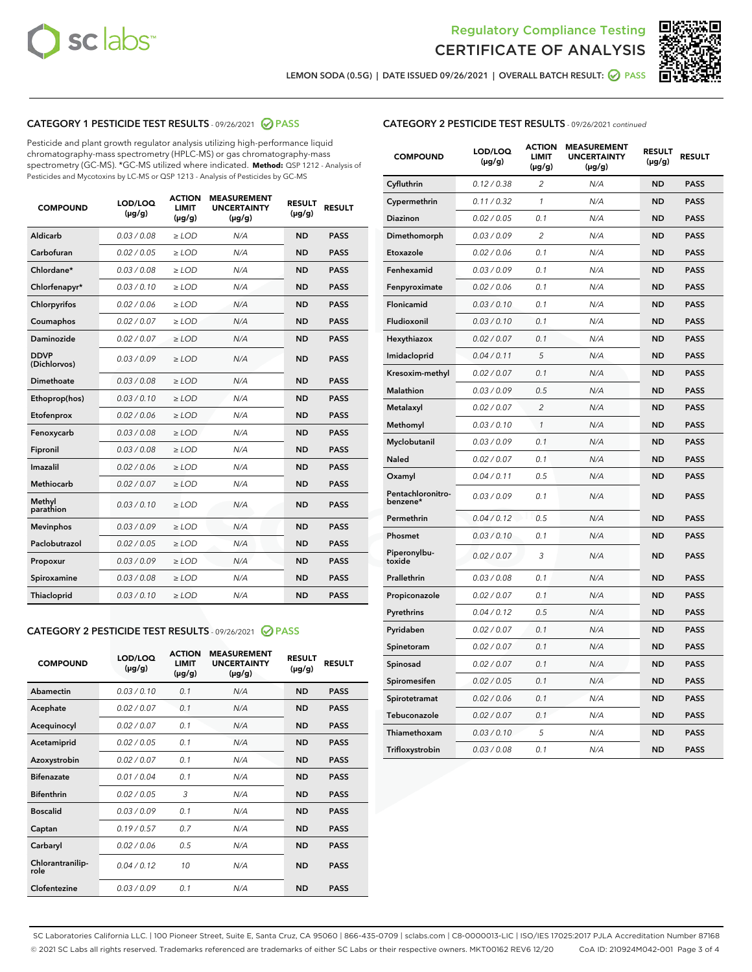



LEMON SODA (0.5G) | DATE ISSUED 09/26/2021 | OVERALL BATCH RESULT:  $\bigotimes$  PASS

## CATEGORY 1 PESTICIDE TEST RESULTS - 09/26/2021 2 PASS

Pesticide and plant growth regulator analysis utilizing high-performance liquid chromatography-mass spectrometry (HPLC-MS) or gas chromatography-mass spectrometry (GC-MS). \*GC-MS utilized where indicated. **Method:** QSP 1212 - Analysis of Pesticides and Mycotoxins by LC-MS or QSP 1213 - Analysis of Pesticides by GC-MS

| <b>COMPOUND</b>             | LOD/LOQ<br>$(\mu g/g)$ | <b>ACTION</b><br><b>LIMIT</b><br>$(\mu g/g)$ | <b>MEASUREMENT</b><br><b>UNCERTAINTY</b><br>$(\mu g/g)$ | <b>RESULT</b><br>$(\mu g/g)$ | <b>RESULT</b> |
|-----------------------------|------------------------|----------------------------------------------|---------------------------------------------------------|------------------------------|---------------|
| Aldicarb                    | 0.03 / 0.08            | $\ge$ LOD                                    | N/A                                                     | <b>ND</b>                    | <b>PASS</b>   |
| Carbofuran                  | 0.02/0.05              | $>$ LOD                                      | N/A                                                     | <b>ND</b>                    | <b>PASS</b>   |
| Chlordane*                  | 0.03 / 0.08            | $\ge$ LOD                                    | N/A                                                     | <b>ND</b>                    | <b>PASS</b>   |
| Chlorfenapyr*               | 0.03/0.10              | $>$ LOD                                      | N/A                                                     | <b>ND</b>                    | <b>PASS</b>   |
| Chlorpyrifos                | 0.02 / 0.06            | $\ge$ LOD                                    | N/A                                                     | <b>ND</b>                    | <b>PASS</b>   |
| Coumaphos                   | 0.02 / 0.07            | $\ge$ LOD                                    | N/A                                                     | <b>ND</b>                    | <b>PASS</b>   |
| Daminozide                  | 0.02 / 0.07            | $\ge$ LOD                                    | N/A                                                     | <b>ND</b>                    | <b>PASS</b>   |
| <b>DDVP</b><br>(Dichlorvos) | 0.03/0.09              | $\ge$ LOD                                    | N/A                                                     | <b>ND</b>                    | <b>PASS</b>   |
| Dimethoate                  | 0.03/0.08              | $>$ LOD                                      | N/A                                                     | <b>ND</b>                    | <b>PASS</b>   |
| Ethoprop(hos)               | 0.03/0.10              | $\ge$ LOD                                    | N/A                                                     | <b>ND</b>                    | <b>PASS</b>   |
| Etofenprox                  | 0.02 / 0.06            | $\ge$ LOD                                    | N/A                                                     | <b>ND</b>                    | <b>PASS</b>   |
| Fenoxycarb                  | 0.03 / 0.08            | $\ge$ LOD                                    | N/A                                                     | <b>ND</b>                    | <b>PASS</b>   |
| Fipronil                    | 0.03/0.08              | $>$ LOD                                      | N/A                                                     | <b>ND</b>                    | <b>PASS</b>   |
| Imazalil                    | 0.02 / 0.06            | $\ge$ LOD                                    | N/A                                                     | <b>ND</b>                    | <b>PASS</b>   |
| Methiocarb                  | 0.02 / 0.07            | $\ge$ LOD                                    | N/A                                                     | <b>ND</b>                    | <b>PASS</b>   |
| Methyl<br>parathion         | 0.03/0.10              | $\ge$ LOD                                    | N/A                                                     | <b>ND</b>                    | <b>PASS</b>   |
| <b>Mevinphos</b>            | 0.03/0.09              | $>$ LOD                                      | N/A                                                     | <b>ND</b>                    | <b>PASS</b>   |
| Paclobutrazol               | 0.02 / 0.05            | $\ge$ LOD                                    | N/A                                                     | <b>ND</b>                    | <b>PASS</b>   |
| Propoxur                    | 0.03/0.09              | $\ge$ LOD                                    | N/A                                                     | <b>ND</b>                    | <b>PASS</b>   |
| Spiroxamine                 | 0.03 / 0.08            | $\ge$ LOD                                    | N/A                                                     | <b>ND</b>                    | <b>PASS</b>   |
| Thiacloprid                 | 0.03/0.10              | $\ge$ LOD                                    | N/A                                                     | <b>ND</b>                    | <b>PASS</b>   |

#### CATEGORY 2 PESTICIDE TEST RESULTS - 09/26/2021 @ PASS

| <b>COMPOUND</b>          | LOD/LOO<br>$(\mu g/g)$ | <b>ACTION</b><br>LIMIT<br>$(\mu g/g)$ | <b>MEASUREMENT</b><br><b>UNCERTAINTY</b><br>$(\mu g/g)$ | <b>RESULT</b><br>$(\mu g/g)$ | <b>RESULT</b> |  |
|--------------------------|------------------------|---------------------------------------|---------------------------------------------------------|------------------------------|---------------|--|
| Abamectin                | 0.03/0.10              | 0.1                                   | N/A                                                     | <b>ND</b>                    | <b>PASS</b>   |  |
| Acephate                 | 0.02/0.07              | 0.1                                   | N/A                                                     | <b>ND</b>                    | <b>PASS</b>   |  |
| Acequinocyl              | 0.02/0.07              | 0.1                                   | N/A                                                     | <b>ND</b>                    | <b>PASS</b>   |  |
| Acetamiprid              | 0.02 / 0.05            | 0.1                                   | N/A                                                     | <b>ND</b>                    | <b>PASS</b>   |  |
| Azoxystrobin             | 0.02/0.07              | 0.1                                   | N/A                                                     | <b>ND</b>                    | <b>PASS</b>   |  |
| <b>Bifenazate</b>        | 0.01 / 0.04            | 0.1                                   | N/A                                                     | <b>ND</b>                    | <b>PASS</b>   |  |
| <b>Bifenthrin</b>        | 0.02 / 0.05            | 3                                     | N/A                                                     | <b>ND</b>                    | <b>PASS</b>   |  |
| <b>Boscalid</b>          | 0.03/0.09              | 0.1                                   | N/A                                                     | <b>ND</b>                    | <b>PASS</b>   |  |
| Captan                   | 0.19/0.57              | 0.7                                   | N/A                                                     | <b>ND</b>                    | <b>PASS</b>   |  |
| Carbaryl                 | 0.02/0.06              | 0.5                                   | N/A                                                     | <b>ND</b>                    | <b>PASS</b>   |  |
| Chlorantranilip-<br>role | 0.04/0.12              | 10                                    | N/A                                                     | <b>ND</b>                    | <b>PASS</b>   |  |
| Clofentezine             | 0.03/0.09              | 0.1                                   | N/A                                                     | <b>ND</b>                    | <b>PASS</b>   |  |

|  | <b>CATEGORY 2 PESTICIDE TEST RESULTS</b> - 09/26/2021 continued |  |
|--|-----------------------------------------------------------------|--|
|  |                                                                 |  |

| <b>COMPOUND</b>               | LOD/LOQ<br>(µg/g) | <b>ACTION</b><br>LIMIT<br>$(\mu g/g)$ | <b>MEASUREMENT</b><br><b>UNCERTAINTY</b><br>$(\mu g/g)$ | <b>RESULT</b><br>(µg/g) | <b>RESULT</b> |
|-------------------------------|-------------------|---------------------------------------|---------------------------------------------------------|-------------------------|---------------|
| Cyfluthrin                    | 0.12 / 0.38       | 2                                     | N/A                                                     | <b>ND</b>               | <b>PASS</b>   |
| Cypermethrin                  | 0.11 / 0.32       | $\mathcal{I}$                         | N/A                                                     | <b>ND</b>               | <b>PASS</b>   |
| Diazinon                      | 0.02 / 0.05       | 0.1                                   | N/A                                                     | <b>ND</b>               | <b>PASS</b>   |
| Dimethomorph                  | 0.03 / 0.09       | 2                                     | N/A                                                     | <b>ND</b>               | <b>PASS</b>   |
| Etoxazole                     | 0.02 / 0.06       | 0.1                                   | N/A                                                     | <b>ND</b>               | <b>PASS</b>   |
| Fenhexamid                    | 0.03 / 0.09       | 0.1                                   | N/A                                                     | <b>ND</b>               | <b>PASS</b>   |
| Fenpyroximate                 | 0.02 / 0.06       | 0.1                                   | N/A                                                     | <b>ND</b>               | <b>PASS</b>   |
| Flonicamid                    | 0.03 / 0.10       | 0.1                                   | N/A                                                     | <b>ND</b>               | <b>PASS</b>   |
| Fludioxonil                   | 0.03 / 0.10       | 0.1                                   | N/A                                                     | <b>ND</b>               | <b>PASS</b>   |
| Hexythiazox                   | 0.02 / 0.07       | 0.1                                   | N/A                                                     | <b>ND</b>               | <b>PASS</b>   |
| Imidacloprid                  | 0.04 / 0.11       | 5                                     | N/A                                                     | <b>ND</b>               | <b>PASS</b>   |
| Kresoxim-methyl               | 0.02 / 0.07       | 0.1                                   | N/A                                                     | <b>ND</b>               | <b>PASS</b>   |
| Malathion                     | 0.03 / 0.09       | 0.5                                   | N/A                                                     | <b>ND</b>               | <b>PASS</b>   |
| Metalaxyl                     | 0.02 / 0.07       | $\overline{c}$                        | N/A                                                     | <b>ND</b>               | <b>PASS</b>   |
| Methomyl                      | 0.03 / 0.10       | $\mathcal{I}$                         | N/A                                                     | <b>ND</b>               | <b>PASS</b>   |
| Myclobutanil                  | 0.03 / 0.09       | 0.1                                   | N/A                                                     | <b>ND</b>               | <b>PASS</b>   |
| Naled                         | 0.02 / 0.07       | 0.1                                   | N/A                                                     | <b>ND</b>               | <b>PASS</b>   |
| Oxamyl                        | 0.04 / 0.11       | 0.5                                   | N/A                                                     | <b>ND</b>               | <b>PASS</b>   |
| Pentachloronitro-<br>benzene* | 0.03/0.09         | 0.1                                   | N/A                                                     | <b>ND</b>               | <b>PASS</b>   |
| Permethrin                    | 0.04 / 0.12       | 0.5                                   | N/A                                                     | <b>ND</b>               | <b>PASS</b>   |
| Phosmet                       | 0.03 / 0.10       | 0.1                                   | N/A                                                     | <b>ND</b>               | <b>PASS</b>   |
| Piperonylbu-<br>toxide        | 0.02 / 0.07       | 3                                     | N/A                                                     | <b>ND</b>               | <b>PASS</b>   |
| Prallethrin                   | 0.03 / 0.08       | 0.1                                   | N/A                                                     | <b>ND</b>               | <b>PASS</b>   |
| Propiconazole                 | 0.02 / 0.07       | 0.1                                   | N/A                                                     | <b>ND</b>               | <b>PASS</b>   |
| Pyrethrins                    | 0.04 / 0.12       | 0.5                                   | N/A                                                     | <b>ND</b>               | <b>PASS</b>   |
| Pyridaben                     | 0.02 / 0.07       | 0.1                                   | N/A                                                     | <b>ND</b>               | <b>PASS</b>   |
| Spinetoram                    | 0.02 / 0.07       | 0.1                                   | N/A                                                     | <b>ND</b>               | <b>PASS</b>   |
| Spinosad                      | 0.02 / 0.07       | 0.1                                   | N/A                                                     | <b>ND</b>               | <b>PASS</b>   |
| Spiromesifen                  | 0.02 / 0.05       | 0.1                                   | N/A                                                     | <b>ND</b>               | <b>PASS</b>   |
| Spirotetramat                 | 0.02 / 0.06       | 0.1                                   | N/A                                                     | <b>ND</b>               | <b>PASS</b>   |
| Tebuconazole                  | 0.02 / 0.07       | 0.1                                   | N/A                                                     | <b>ND</b>               | <b>PASS</b>   |
| Thiamethoxam                  | 0.03 / 0.10       | 5                                     | N/A                                                     | <b>ND</b>               | <b>PASS</b>   |
| Trifloxystrobin               | 0.03 / 0.08       | 0.1                                   | N/A                                                     | <b>ND</b>               | <b>PASS</b>   |

SC Laboratories California LLC. | 100 Pioneer Street, Suite E, Santa Cruz, CA 95060 | 866-435-0709 | sclabs.com | C8-0000013-LIC | ISO/IES 17025:2017 PJLA Accreditation Number 87168 © 2021 SC Labs all rights reserved. Trademarks referenced are trademarks of either SC Labs or their respective owners. MKT00162 REV6 12/20 CoA ID: 210924M042-001 Page 3 of 4